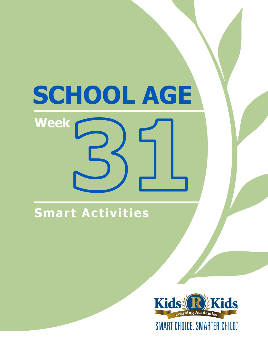# SCHOOL AGE **Week**

# **Smart Activities**

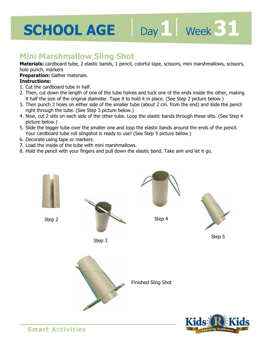# Day 1 **Week 31**

### **Mini Marshmallow Sling Shot**

**Materials:** cardboard tube, 2 elastic bands, 1 pencil, colorful tape, scissors, mini marshmallows, scissors, hole punch, markers

#### **Preparation:** Gather materials.

#### **Instructions:**

- 1. Cut the cardboard tube in half.
- 2. Then, cut down the length of one of the tube halves and tuck one of the ends inside the other, making it half the size of the original diameter. Tape it to hold it in place. (See Step 2 picture below.)
- 3. Then punch 2 holes on either side of the smaller tube (about 2 cm. from the end) and slide the pencil right through the tube. (See Step 3 picture below.)
- 4. Now, cut 2 slits on each side of the other tube. Loop the elastic bands through these slits. (See Step 4 picture below.)
- 5. Slide the bigger tube over the smaller one and loop the elastic bands around the ends of the pencil. Your cardboard tube roll slingshot is ready to use! (See Step 5 picture below.)
- 6. Decorate using tape or markers.
- 7. Load the inside of the tube with mini marshmallows.
- 8. Hold the pencil with your fingers and pull down the elastic band. Take aim and let it go.



**Smart Activities**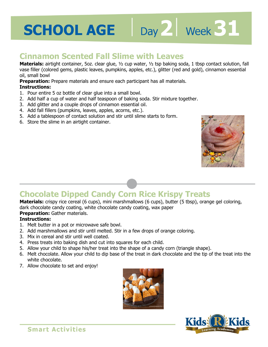

vase filler (colored gems, plastic leaves, pumpkins, apples, etc.), glitter (red and gold), cinnamon essential<br>oil, small bowl<br>**Preparation:** Prepare materials and ensure each participant has all materials.<br>**Instructions: Materials:** airtight container, 5oz. clear glue, ½ cup water, ½ tsp baking soda, 1 tbsp contact solution, fall oil, small bowl

**Preparation:** Prepare materials and ensure each participant has all materials.

#### **Instructions:**

- 1. Pour entire 5 oz bottle of clear glue into a small bowl.
- 2. Add half a cup of water and half teaspoon of baking soda. Stir mixture together.
- 3. Add glitter and a couple drops of cinnamon essential oil.
- 4. Add fall fillers (pumpkins, leaves, apples, acorns, etc.).
- 5. Add a tablespoon of contact solution and stir until slime starts to form.
- 6. Store the slime in an airtight container.



Day 2 **Week 31** 

## **Chocolate Dipped Candy Corn Rice Krispy Treats**

**Materials:** crispy rice cereal (6 cups), mini marshmallows (6 cups), butter (5 tbsp), orange gel coloring, dark chocolate candy coating, white chocolate candy coating, wax paper

### **Preparation:** Gather materials.

#### **Instructions:**

- 1. Melt butter in a pot or microwave safe bowl.
- 2. Add marshmallows and stir until melted. Stir in a few drops of orange coloring.
- 3. Mix in cereal and stir until well coated.
- 4. Press treats into baking dish and cut into squares for each child.
- 5. Allow your child to shape his/her treat into the shape of a candy corn (triangle shape).
- 6. Melt chocolate. Allow your child to dip base of the treat in dark chocolate and the tip of the treat into the white chocolate.
- 7. Allow chocolate to set and enjoy!



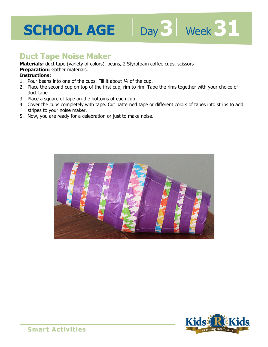### **Duct Tape Noise Maker**

**Materials:** duct tape (variety of colors), beans, 2 Styrofoam coffee cups, scissors

**Preparation:** Gather materials.

#### **Instructions:**

- 1. Pour beans into one of the cups. Fill it about ¼ of the cup.
- **Freparation:** Gather materials.<br>**Instructions:**<br>1. Pour beans into one of the cups. Fill it about ¼ of the cup.<br>2. Place the second cup on top of the first cup, rim to rim. Tape the rims together with your choice of duct tape.

Day 3 | Week 31

- 3. Place a square of tape on the bottoms of each cup.
- 4. Cover the cups completely with tape. Cut patterned tape or different colors of tapes into strips to add stripes to your noise maker.
- 5. Now, you are ready for a celebration or just to make noise.



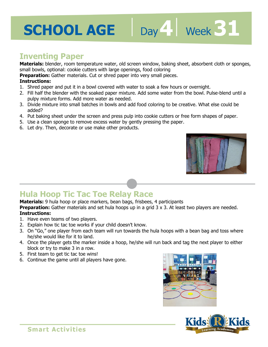### **Inventing Paper**

**Materials:** blender, room temperature water, old screen window, baking sheet, absorbent cloth or sponges, small bowls, optional: cookie cutters with large openings, food coloring

**Preparation:** Gather materials. Cut or shred paper into very small pieces.

#### **Instructions:**

- small bowls, optional. cookie cutters with large openlings, rood coloning<br>**Preparation:** Gather materials. Cut or shred paper into very small pieces.<br>**Instructions:**<br>1. Shred paper and put it in a bowl covered with water t
- 2. Fill half the blender with the soaked paper mixture. Add some water from the bowl. Pulse-blend until a pulpy mixture forms. Add more water as needed.
- 3. Divide mixture into small batches in bowls and add food coloring to be creative. What else could be added?
- 4. Put baking sheet under the screen and press pulp into cookie cutters or free form shapes of paper.
- 5. Use a clean sponge to remove excess water by gently pressing the paper.
- 6. Let dry. Then, decorate or use make other products.



## **Hula Hoop Tic Tac Toe Relay Race**

**Materials:** 9 hula hoop or place markers, bean bags, frisbees, 4 participants

**Preparation:** Gather materials and set hula hoops up in a grid 3 x 3. At least two players are needed. **Instructions:** 

- 1. Have even teams of two players.
- 2. Explain how tic tac toe works if your child doesn't know.
- 3. On "Go," one player from each team will run towards the hula hoops with a bean bag and toss where he/she would like for it to land.
- 4. Once the player gets the marker inside a hoop, he/she will run back and tag the next player to either block or try to make 3 in a row.
- 5. First team to get tic tac toe wins!
- 6. Continue the game until all players have gone.



Day 4 **Week 31**